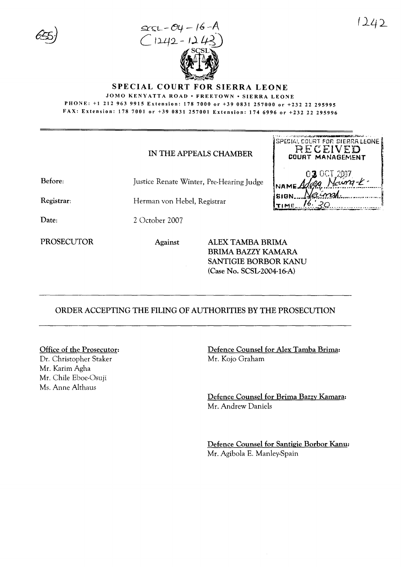



**SPECIAL COURT FOR SIERRA LEONE** 

JOMO KENYATTA ROAD • FREETOWN • SIERRA LEONE PHONE: +1 212 963 9915 Extension: 178 7000 or +39 0831 257000 or +232 22 295995 FAX: Extension: 178 7001 or +39 0831 257001 Extension: 174 6996 or +232 22 295996

## IN THE APPEALS CHAMBER

Before: Justice Renate Winter, Pre-Hearing Judge

Registrar:

Herman von Hebel, Registrar

Date: 2 October 2007

**PROSECUTOR** 

Against

ALEX TAMBA BRIMA **BRIMA BAZZY KAMARA** SANTIGIE BORBOR KANU (Case No. SCSL-2004-16-A)

## ORDER ACCEPTING THE FILING OF AUTHORITIES BY THE PROSECUTION

## Office of the Prosecutor:

Dr. Christopher Staker Mr. Karim Agha Mr. Chile Eboe-Osuji Ms. Anne Althaus

Defence Counsel for Alex Tamba Brima: Mr. Kojo Graham

Defence Counsel for Brima Bazzy Kamara: Mr. Andrew Daniels

Defence Counsel for Santigie Borbor Kanu: Mr. Agibola E. Manley-Spain

SPECIAL COURT FOR SIERRA LEONE RECEIVED

COURT MANAGEMENT

 $03.00$ T

**SIGN...** 

**TIME**